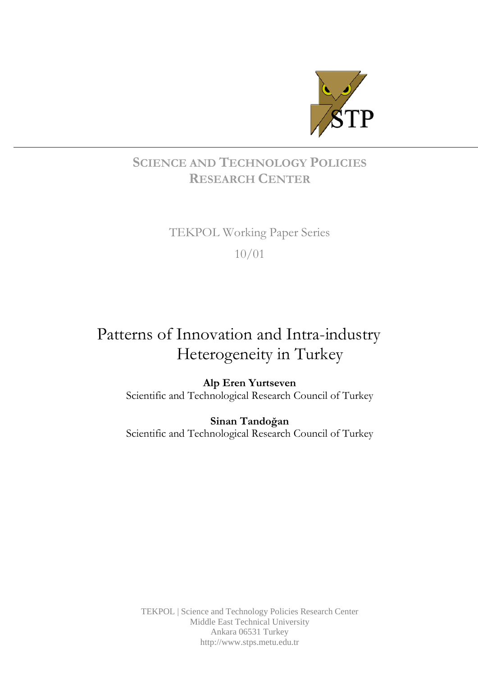

## **SCIENCE AND TECHNOLOGY POLICIES RESEARCH CENTER**

### TEKPOL Working Paper Series

10/01

# Patterns of Innovation and Intra-industry Heterogeneity in Turkey

**Alp Eren Yurtseven**  Scientific and Technological Research Council of Turkey

**Sinan Tandoğan**  Scientific and Technological Research Council of Turkey

TEKPOL | Science and Technology Policies Research Center Middle East Technical University Ankara 06531 Turkey http://www.stps.metu.edu.tr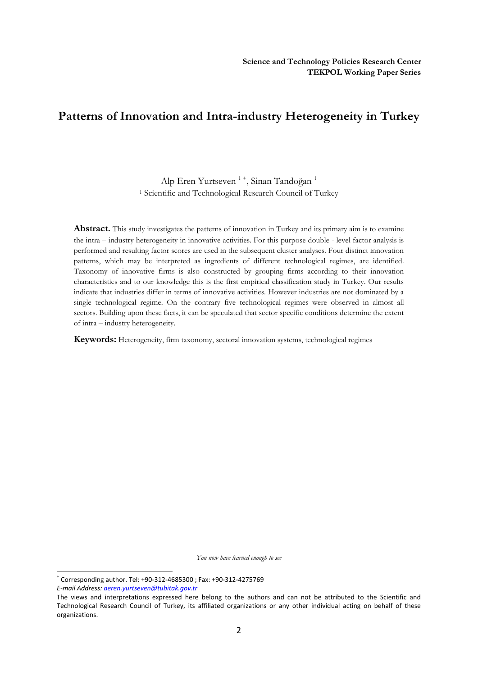### **Patterns of Innovation and Intra-industry Heterogeneity in Turkey**

Alp Eren Yurtseven <sup>1[+](#page-1-0)</sup>, Sinan Tandoğan <sup>1</sup> <sup>1</sup> Scientific and Technological Research Council of Turkey

**Abstract.** This study investigates the patterns of innovation in Turkey and its primary aim is to examine the intra – industry heterogeneity in innovative activities. For this purpose double - level factor analysis is performed and resulting factor scores are used in the subsequent cluster analyses. Four distinct innovation patterns, which may be interpreted as ingredients of different technological regimes, are identified. Taxonomy of innovative firms is also constructed by grouping firms according to their innovation characteristics and to our knowledge this is the first empirical classification study in Turkey. Our results indicate that industries differ in terms of innovative activities. However industries are not dominated by a single technological regime. On the contrary five technological regimes were observed in almost all sectors. Building upon these facts, it can be speculated that sector specific conditions determine the extent of intra – industry heterogeneity.

**Keywords:** Heterogeneity, firm taxonomy, sectoral innovation systems, technological regimes

*You now have learned enough to see*

<span id="page-1-0"></span><sup>+</sup> Corresponding author. Tel: +90-312-4685300 ; Fax: +90-312-4275769

*E-mail Address[: aeren.yurtseven@tubitak.gov.tr](mailto:aeren.yurtseven@tubitak.gov.tr)*

The views and interpretations expressed here belong to the authors and can not be attributed to the Scientific and Technological Research Council of Turkey, its affiliated organizations or any other individual acting on behalf of these organizations.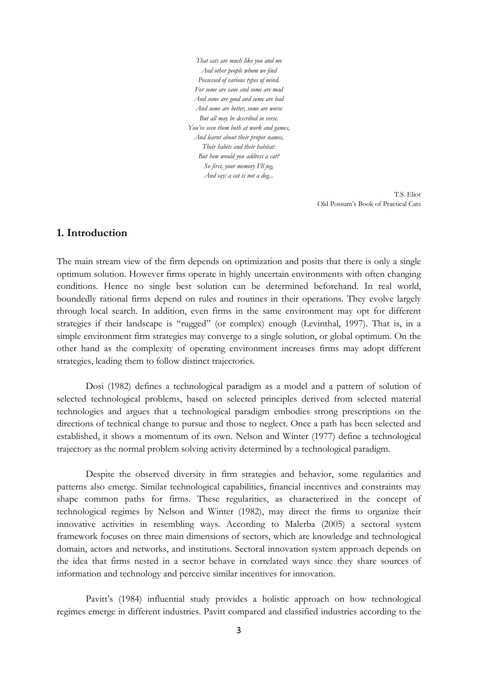*That cats are much like you and me And other people whom we find Possessed of various types of mind. For some are sane and some are mad And some are good and some are bad And some are better, some are worse But all may be described in verse. You've seen them both at work and games, And learnt about their proper names, Their habits and their habitat: But how would you address a cat? So first, your memory I'll jog, And say: a cat is not a dog...*

> T.S. Eliot Old Possum's Book of Practical Cats

### **1. Introduction**

The main stream view of the firm depends on optimization and posits that there is only a single optimum solution. However firms operate in highly uncertain environments with often changing conditions. Hence no single best solution can be determined beforehand. In real world, boundedly rational firms depend on rules and routines in their operations. They evolve largely through local search. In addition, even firms in the same environment may opt for different strategies if their landscape is "rugged" (or complex) enough (Levinthal, 1997). That is, in a simple environment firm strategies may converge to a single solution, or global optimum. On the other hand as the complexity of operating environment increases firms may adopt different strategies, leading them to follow distinct trajectories.

Dosi (1982) defines a technological paradigm as a model and a pattern of solution of selected technological problems, based on selected principles derived from selected material technologies and argues that a technological paradigm embodies strong prescriptions on the directions of technical change to pursue and those to neglect. Once a path has been selected and established, it shows a momentum of its own. Nelson and Winter (1977) define a technological trajectory as the normal problem solving activity determined by a technological paradigm.

Despite the observed diversity in firm strategies and behavior, some regularities and patterns also emerge. Similar technological capabilities, financial incentives and constraints may shape common paths for firms. These regularities, as characterized in the concept of technological regimes by Nelson and Winter (1982), may direct the firms to organize their innovative activities in resembling ways. According to Malerba (2005) a sectoral system framework focuses on three main dimensions of sectors, which are knowledge and technological domain, actors and networks, and institutions. Sectoral innovation system approach depends on the idea that firms nested in a sector behave in correlated ways since they share sources of information and technology and perceive similar incentives for innovation.

Pavitt's (1984) influential study provides a holistic approach on how technological regimes emerge in different industries. Pavitt compared and classified industries according to the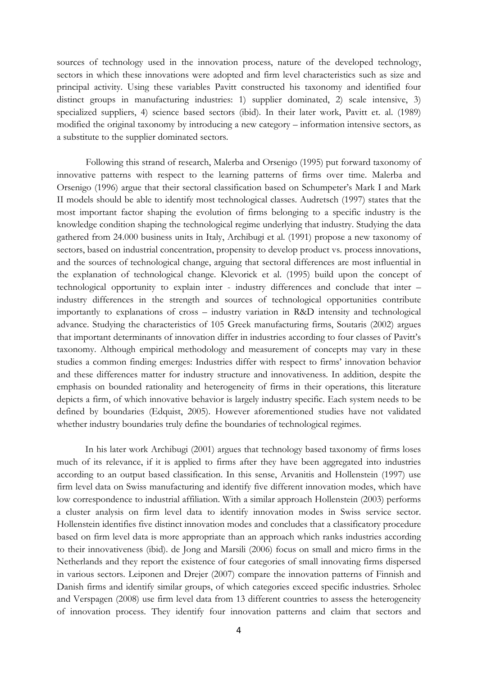sources of technology used in the innovation process, nature of the developed technology, sectors in which these innovations were adopted and firm level characteristics such as size and principal activity. Using these variables Pavitt constructed his taxonomy and identified four distinct groups in manufacturing industries: 1) supplier dominated, 2) scale intensive, 3) specialized suppliers, 4) science based sectors (ibid). In their later work, Pavitt et. al. (1989) modified the original taxonomy by introducing a new category – information intensive sectors, as a substitute to the supplier dominated sectors.

Following this strand of research, Malerba and Orsenigo (1995) put forward taxonomy of innovative patterns with respect to the learning patterns of firms over time. Malerba and Orsenigo (1996) argue that their sectoral classification based on Schumpeter's Mark I and Mark II models should be able to identify most technological classes. Audretsch (1997) states that the most important factor shaping the evolution of firms belonging to a specific industry is the knowledge condition shaping the technological regime underlying that industry. Studying the data gathered from 24.000 business units in Italy, Archibugi et al. (1991) propose a new taxonomy of sectors, based on industrial concentration, propensity to develop product vs. process innovations, and the sources of technological change, arguing that sectoral differences are most influential in the explanation of technological change. Klevorick et al. (1995) build upon the concept of technological opportunity to explain inter - industry differences and conclude that inter – industry differences in the strength and sources of technological opportunities contribute importantly to explanations of cross – industry variation in R&D intensity and technological advance. Studying the characteristics of 105 Greek manufacturing firms, Soutaris (2002) argues that important determinants of innovation differ in industries according to four classes of Pavitt's taxonomy. Although empirical methodology and measurement of concepts may vary in these studies a common finding emerges: Industries differ with respect to firms' innovation behavior and these differences matter for industry structure and innovativeness. In addition, despite the emphasis on bounded rationality and heterogeneity of firms in their operations, this literature depicts a firm, of which innovative behavior is largely industry specific. Each system needs to be defined by boundaries (Edquist, 2005). However aforementioned studies have not validated whether industry boundaries truly define the boundaries of technological regimes.

In his later work Archibugi (2001) argues that technology based taxonomy of firms loses much of its relevance, if it is applied to firms after they have been aggregated into industries according to an output based classification. In this sense, Arvanitis and Hollenstein (1997) use firm level data on Swiss manufacturing and identify five different innovation modes, which have low correspondence to industrial affiliation. With a similar approach Hollenstein (2003) performs a cluster analysis on firm level data to identify innovation modes in Swiss service sector. Hollenstein identifies five distinct innovation modes and concludes that a classificatory procedure based on firm level data is more appropriate than an approach which ranks industries according to their innovativeness (ibid). de Jong and Marsili (2006) focus on small and micro firms in the Netherlands and they report the existence of four categories of small innovating firms dispersed in various sectors. Leiponen and Drejer (2007) compare the innovation patterns of Finnish and Danish firms and identify similar groups, of which categories exceed specific industries. Srholec and Verspagen (2008) use firm level data from 13 different countries to assess the heterogeneity of innovation process. They identify four innovation patterns and claim that sectors and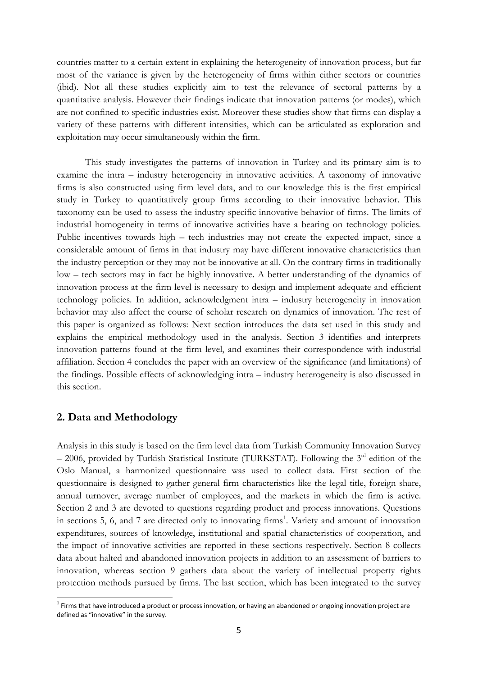countries matter to a certain extent in explaining the heterogeneity of innovation process, but far most of the variance is given by the heterogeneity of firms within either sectors or countries (ibid). Not all these studies explicitly aim to test the relevance of sectoral patterns by a quantitative analysis. However their findings indicate that innovation patterns (or modes), which are not confined to specific industries exist. Moreover these studies show that firms can display a variety of these patterns with different intensities, which can be articulated as exploration and exploitation may occur simultaneously within the firm.

This study investigates the patterns of innovation in Turkey and its primary aim is to examine the intra – industry heterogeneity in innovative activities. A taxonomy of innovative firms is also constructed using firm level data, and to our knowledge this is the first empirical study in Turkey to quantitatively group firms according to their innovative behavior. This taxonomy can be used to assess the industry specific innovative behavior of firms. The limits of industrial homogeneity in terms of innovative activities have a bearing on technology policies. Public incentives towards high – tech industries may not create the expected impact, since a considerable amount of firms in that industry may have different innovative characteristics than the industry perception or they may not be innovative at all. On the contrary firms in traditionally low – tech sectors may in fact be highly innovative. A better understanding of the dynamics of innovation process at the firm level is necessary to design and implement adequate and efficient technology policies. In addition, acknowledgment intra – industry heterogeneity in innovation behavior may also affect the course of scholar research on dynamics of innovation. The rest of this paper is organized as follows: Next section introduces the data set used in this study and explains the empirical methodology used in the analysis. Section 3 identifies and interprets innovation patterns found at the firm level, and examines their correspondence with industrial affiliation. Section 4 concludes the paper with an overview of the significance (and limitations) of the findings. Possible effects of acknowledging intra – industry heterogeneity is also discussed in this section.

### **2. Data and Methodology**

Analysis in this study is based on the firm level data from Turkish Community Innovation Survey – 2006, provided by Turkish Statistical Institute (TURKSTAT). Following the 3rd edition of the Oslo Manual, a harmonized questionnaire was used to collect data. First section of the questionnaire is designed to gather general firm characteristics like the legal title, foreign share, annual turnover, average number of employees, and the markets in which the firm is active. Section 2 and 3 are devoted to questions regarding product and process innovations. Questions in sections 5, 6, and 7 are directed only to innovating firms<sup>[1](#page-4-0)</sup>. Variety and amount of innovation expenditures, sources of knowledge, institutional and spatial characteristics of cooperation, and the impact of innovative activities are reported in these sections respectively. Section 8 collects data about halted and abandoned innovation projects in addition to an assessment of barriers to innovation, whereas section 9 gathers data about the variety of intellectual property rights protection methods pursued by firms. The last section, which has been integrated to the survey

<span id="page-4-0"></span> $1$  Firms that have introduced a product or process innovation, or having an abandoned or ongoing innovation project are defined as "innovative" in the survey.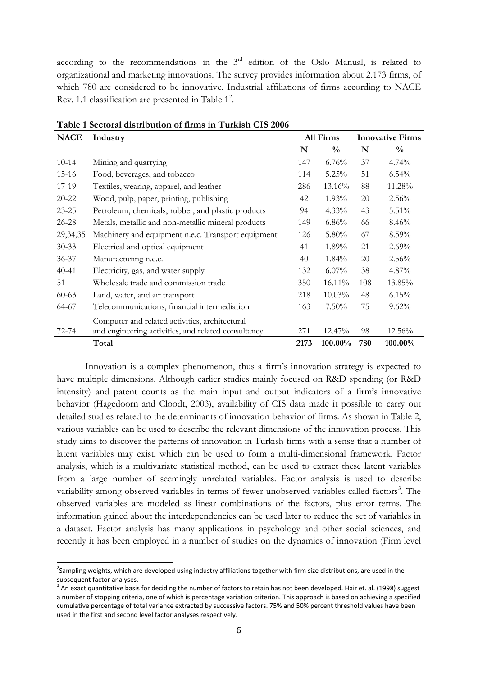according to the recommendations in the  $3<sup>rd</sup>$  edition of the Oslo Manual, is related to organizational and marketing innovations. The survey provides information about 2.173 firms, of which 780 are considered to be innovative. Industrial affiliations of firms according to NACE Rev. 1.1 classification are presented in Table  $1^2$  $1^2$ .

| <b>NACE</b> | Industry                                            | All Firms<br><b>Innovative Firms</b> |               |     |               |
|-------------|-----------------------------------------------------|--------------------------------------|---------------|-----|---------------|
|             |                                                     | N                                    | $\frac{0}{0}$ | N   | $\frac{0}{0}$ |
| $10-14$     | Mining and quarrying                                | 147                                  | 6.76%         | 37  | $4.74\%$      |
| $15-16$     | Food, beverages, and tobacco                        | 114                                  | 5.25%         | 51  | 6.54%         |
| 17-19       | Textiles, wearing, apparel, and leather             | 286                                  | 13.16%        | 88  | 11.28%        |
| $20 - 22$   | Wood, pulp, paper, printing, publishing             | 42                                   | $1.93\%$      | 20  | 2.56%         |
| $23 - 25$   | Petroleum, chemicals, rubber, and plastic products  | 94                                   | $4.33\%$      | 43  | 5.51%         |
| $26 - 28$   | Metals, metallic and non-metallic mineral products  | 149                                  | $6.86\%$      | 66  | 8.46%         |
| 29, 34, 35  | Machinery and equipment n.e.c. Transport equipment  | 126                                  | $5.80\%$      | 67  | 8.59%         |
| $30 - 33$   | Electrical and optical equipment                    | 41                                   | $1.89\%$      | 21  | 2.69%         |
| $36 - 37$   | Manufacturing n.e.c.                                | 40                                   | $1.84\%$      | 20  | $2.56\%$      |
| $40 - 41$   | Electricity, gas, and water supply                  | 132                                  | $6.07\%$      | 38  | 4.87%         |
| 51          | Wholesale trade and commission trade                | 350                                  | $16.11\%$     | 108 | 13.85%        |
| $60 - 63$   | Land, water, and air transport                      | 218                                  | $10.03\%$     | 48  | 6.15%         |
| 64-67       | Telecommunications, financial intermediation        | 163                                  | $7.50\%$      | 75  | 9.62%         |
|             | Computer and related activities, architectural      |                                      |               |     |               |
| 72-74       | and engineering activities, and related consultancy | 271                                  | 12.47%        | 98  | 12.56%        |
|             | Total                                               | 2173                                 | 100.00%       | 780 | 100.00%       |

**Table 1 Sectoral distribution of firms in Turkish CIS 2006**

Innovation is a complex phenomenon, thus a firm's innovation strategy is expected to have multiple dimensions. Although earlier studies mainly focused on R&D spending (or R&D intensity) and patent counts as the main input and output indicators of a firm's innovative behavior (Hagedoorn and Cloodt, 2003), availability of CIS data made it possible to carry out detailed studies related to the determinants of innovation behavior of firms. As shown in Table 2, various variables can be used to describe the relevant dimensions of the innovation process. This study aims to discover the patterns of innovation in Turkish firms with a sense that a number of latent variables may exist, which can be used to form a multi-dimensional framework. Factor analysis, which is a multivariate statistical method, can be used to extract these latent variables from a large number of seemingly unrelated variables. Factor analysis is used to describe variability among observed variables in terms of fewer unobserved variables called factors<sup>[3](#page-5-1)</sup>. The observed variables are modeled as linear combinations of the factors, plus error terms. The information gained about the interdependencies can be used later to reduce the set of variables in a dataset. Factor analysis has many applications in psychology and other social sciences, and recently it has been employed in a number of studies on the dynamics of innovation (Firm level

<span id="page-5-0"></span>2 Sampling weights, which are developed using industry affiliations together with firm size distributions, are used in the subsequent factor analyses.

<span id="page-5-1"></span> $3$  An exact quantitative basis for deciding the number of factors to retain has not been developed. Hair et. al. (1998) suggest a number of stopping criteria, one of which is percentage variation criterion. This approach is based on achieving a specified cumulative percentage of total variance extracted by successive factors. 75% and 50% percent threshold values have been used in the first and second level factor analyses respectively.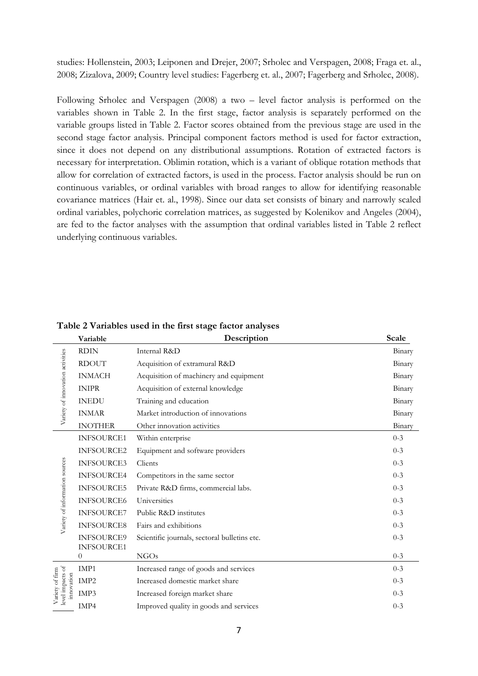studies: Hollenstein, 2003; Leiponen and Drejer, 2007; Srholec and Verspagen, 2008; Fraga et. al., 2008; Zizalova, 2009; Country level studies: Fagerberg et. al., 2007; Fagerberg and Srholec, 2008).

Following Srholec and Verspagen (2008) a two – level factor analysis is performed on the variables shown in Table 2. In the first stage, factor analysis is separately performed on the variable groups listed in Table 2. Factor scores obtained from the previous stage are used in the second stage factor analysis. Principal component factors method is used for factor extraction, since it does not depend on any distributional assumptions. Rotation of extracted factors is necessary for interpretation. Oblimin rotation, which is a variant of oblique rotation methods that allow for correlation of extracted factors, is used in the process. Factor analysis should be run on continuous variables, or ordinal variables with broad ranges to allow for identifying reasonable covariance matrices (Hair et. al., 1998). Since our data set consists of binary and narrowly scaled ordinal variables, polychoric correlation matrices, as suggested by Kolenikov and Angeles (2004), are fed to the factor analyses with the assumption that ordinal variables listed in Table 2 reflect underlying continuous variables.

|                                     | Variable                               | Description                                  | Scale   |
|-------------------------------------|----------------------------------------|----------------------------------------------|---------|
| Variety of innovation activities    | <b>RDIN</b>                            | Internal R&D                                 | Binary  |
|                                     | <b>RDOUT</b>                           | Acquisition of extramural R&D                | Binary  |
|                                     | <b>INMACH</b>                          | Acquisition of machinery and equipment       | Binary  |
|                                     | <b>INIPR</b>                           | Acquisition of external knowledge            | Binary  |
|                                     | <b>INEDU</b>                           | Training and education                       | Binary  |
|                                     | <b>INMAR</b>                           | Market introduction of innovations           | Binary  |
|                                     | <b>INOTHER</b>                         | Other innovation activities                  | Binary  |
|                                     | <b>INFSOURCE1</b>                      | Within enterprise                            | $0 - 3$ |
|                                     | <b>INFSOURCE2</b>                      | Equipment and software providers             | $0 - 3$ |
|                                     | <b>INFSOURCE3</b>                      | Clients                                      | $0 - 3$ |
| Variety of information sources      | <b>INFSOURCE4</b>                      | Competitors in the same sector               | $0 - 3$ |
|                                     | <b>INFSOURCE5</b>                      | Private R&D firms, commercial labs.          | $0 - 3$ |
|                                     | <b>INFSOURCE6</b>                      | Universities                                 | $0 - 3$ |
|                                     | <b>INFSOURCE7</b>                      | Public R&D institutes                        | $0 - 3$ |
|                                     | <b>INFSOURCE8</b>                      | Fairs and exhibitions                        | $0 - 3$ |
|                                     | <b>INFSOURCE9</b><br><b>INFSOURCE1</b> | Scientific journals, sectoral bulletins etc. | $0 - 3$ |
|                                     | $\overline{0}$                         | <b>NGOs</b>                                  | $0 - 3$ |
|                                     | IMP1                                   | Increased range of goods and services        | $0 - 3$ |
| nnovation                           | IMP <sub>2</sub>                       | Increased domestic market share              | $0 - 3$ |
| level impacts of<br>Variety of firm | IMP3                                   | Increased foreign market share               | $0 - 3$ |
|                                     | IMP4                                   | Improved quality in goods and services       | $0 - 3$ |

**Table 2 Variables used in the first stage factor analyses**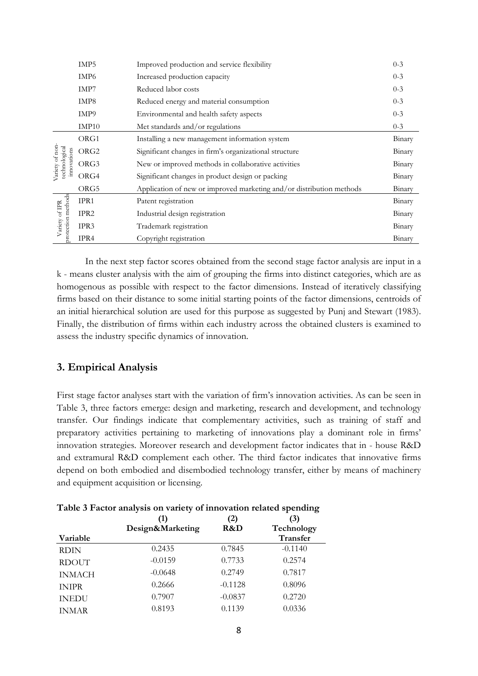|                                                 | IMP5             | Improved production and service flexibility                          | $0 - 3$ |
|-------------------------------------------------|------------------|----------------------------------------------------------------------|---------|
|                                                 | IMP <sub>6</sub> | Increased production capacity                                        | $0 - 3$ |
|                                                 | IMP7             | Reduced labor costs                                                  | $0 - 3$ |
|                                                 | IMP8             | Reduced energy and material consumption                              | $0 - 3$ |
|                                                 | IMP9             | Environmental and health safety aspects                              | $0 - 3$ |
|                                                 | IMP10            | Met standards and/or regulations                                     | $0 - 3$ |
|                                                 | ORG1             | Installing a new management information system                       | Binary  |
|                                                 | ORG <sub>2</sub> | Significant changes in firm's organizational structure               | Binary  |
| Variety of non-<br>technological<br>innovations | ORG3             | New or improved methods in collaborative activities                  | Binary  |
|                                                 | ORG4             | Significant changes in product design or packing                     | Binary  |
|                                                 | ORG5             | Application of new or improved marketing and/or distribution methods | Binary  |
|                                                 | IPR1             | Patent registration                                                  | Binary  |
| protection methods<br>Variety of IPR            | IPR <sub>2</sub> | Industrial design registration                                       | Binary  |
|                                                 | IPR <sub>3</sub> | Trademark registration                                               | Binary  |
|                                                 | IPR4             | Copyright registration                                               | Binary  |

In the next step factor scores obtained from the second stage factor analysis are input in a k - means cluster analysis with the aim of grouping the firms into distinct categories, which are as homogenous as possible with respect to the factor dimensions. Instead of iteratively classifying firms based on their distance to some initial starting points of the factor dimensions, centroids of an initial hierarchical solution are used for this purpose as suggested by Punj and Stewart (1983). Finally, the distribution of firms within each industry across the obtained clusters is examined to assess the industry specific dynamics of innovation.

### **3. Empirical Analysis**

First stage factor analyses start with the variation of firm's innovation activities. As can be seen in Table 3, three factors emerge: design and marketing, research and development, and technology transfer. Our findings indicate that complementary activities, such as training of staff and preparatory activities pertaining to marketing of innovations play a dominant role in firms' innovation strategies. Moreover research and development factor indicates that in - house R&D and extramural R&D complement each other. The third factor indicates that innovative firms depend on both embodied and disembodied technology transfer, either by means of machinery and equipment acquisition or licensing.

|               | $\left( 1\right)$<br>Design&Marketing | $\left( 2\right)$<br>R&D | $\left( 3\right)$<br>Technology |
|---------------|---------------------------------------|--------------------------|---------------------------------|
| Variable      |                                       |                          | Transfer                        |
| <b>RDIN</b>   | 0.2435                                | 0.7845                   | $-0.1140$                       |
| <b>RDOUT</b>  | $-0.0159$                             | 0.7733                   | 0.2574                          |
| <b>INMACH</b> | $-0.0648$                             | 0.2749                   | 0.7817                          |
| <b>INIPR</b>  | 0.2666                                | $-0.1128$                | 0.8096                          |
| <b>INEDU</b>  | 0.7907                                | $-0.0837$                | 0.2720                          |
| <b>INMAR</b>  | 0.8193                                | 0.1139                   | 0.0336                          |

| Table 3 Factor analysis on variety of innovation related spending |  |  |  |
|-------------------------------------------------------------------|--|--|--|
|                                                                   |  |  |  |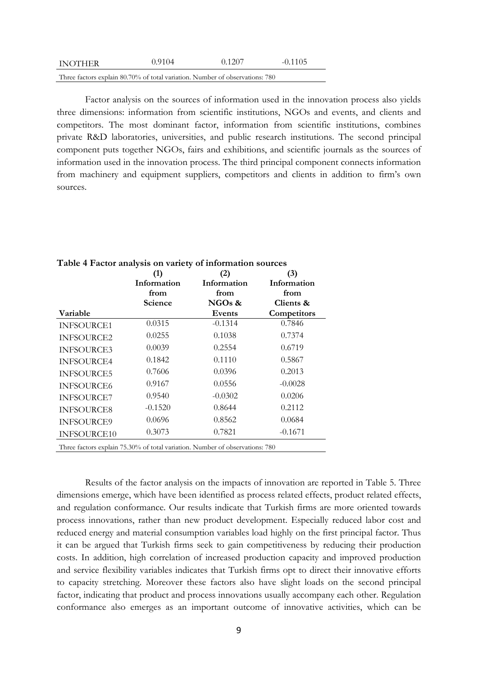| <b>INOTHER</b>                                                               | 0.9104 | 0.1207 | $-0.1105$ |
|------------------------------------------------------------------------------|--------|--------|-----------|
| Three factors explain 80.70% of total variation. Number of observations: 780 |        |        |           |

Factor analysis on the sources of information used in the innovation process also yields three dimensions: information from scientific institutions, NGOs and events, and clients and competitors. The most dominant factor, information from scientific institutions, combines private R&D laboratories, universities, and public research institutions. The second principal component puts together NGOs, fairs and exhibitions, and scientific journals as the sources of information used in the innovation process. The third principal component connects information from machinery and equipment suppliers, competitors and clients in addition to firm's own sources.

|                                                                              | (1)<br>Information<br>from | (2)<br>Information<br>from | (3)<br>Information<br>from |  |  |
|------------------------------------------------------------------------------|----------------------------|----------------------------|----------------------------|--|--|
|                                                                              | Science                    | NGOs &                     | Clients &                  |  |  |
| Variable                                                                     |                            | Events                     | Competitors                |  |  |
| <b>INFSOURCE1</b>                                                            | 0.0315                     | $-0.1314$                  | 0.7846                     |  |  |
| <b>INFSOURCE2</b>                                                            | 0.0255                     | 0.1038                     | 0.7374                     |  |  |
| <b>INFSOURCE3</b>                                                            | 0.0039                     | 0.2554                     | 0.6719                     |  |  |
| <b>INFSOURCE4</b>                                                            | 0.1842                     | 0.1110                     | 0.5867                     |  |  |
| <b>INFSOURCE5</b>                                                            | 0.7606                     | 0.0396                     | 0.2013                     |  |  |
| <b>INFSOURCE6</b>                                                            | 0.9167                     | 0.0556                     | $-0.0028$                  |  |  |
| <b>INFSOURCE7</b>                                                            | 0.9540                     | $-0.0302$                  | 0.0206                     |  |  |
| <b>INFSOURCE8</b>                                                            | $-0.1520$                  | 0.8644                     | 0.2112                     |  |  |
| <b>INFSOURCE9</b>                                                            | 0.0696                     | 0.8562                     | 0.0684                     |  |  |
| <b>INFSOURCE10</b>                                                           | 0.3073                     | 0.7821                     | $-0.1671$                  |  |  |
| Three factors explain 75.30% of total variation. Number of observations: 780 |                            |                            |                            |  |  |

**Table 4 Factor analysis on variety of information sources**

Results of the factor analysis on the impacts of innovation are reported in Table 5. Three dimensions emerge, which have been identified as process related effects, product related effects, and regulation conformance. Our results indicate that Turkish firms are more oriented towards process innovations, rather than new product development. Especially reduced labor cost and reduced energy and material consumption variables load highly on the first principal factor. Thus it can be argued that Turkish firms seek to gain competitiveness by reducing their production costs. In addition, high correlation of increased production capacity and improved production and service flexibility variables indicates that Turkish firms opt to direct their innovative efforts to capacity stretching. Moreover these factors also have slight loads on the second principal factor, indicating that product and process innovations usually accompany each other. Regulation conformance also emerges as an important outcome of innovative activities, which can be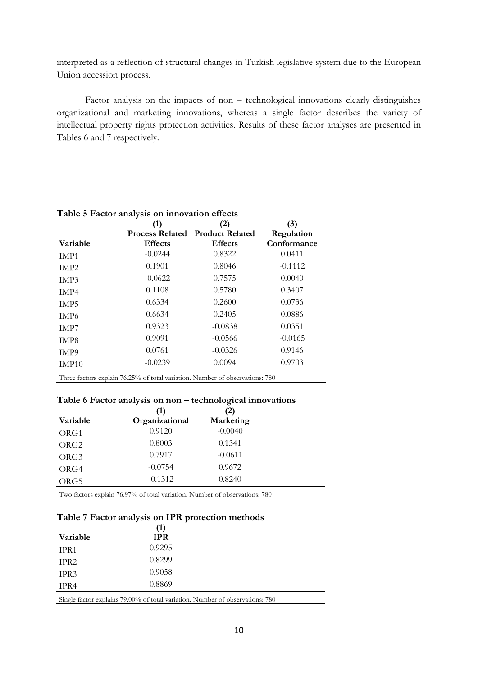interpreted as a reflection of structural changes in Turkish legislative system due to the European Union accession process.

Factor analysis on the impacts of non – technological innovations clearly distinguishes organizational and marketing innovations, whereas a single factor describes the variety of intellectual property rights protection activities. Results of these factor analyses are presented in Tables 6 and 7 respectively.

|                  | (1)            | (2)                                    | (3)         |
|------------------|----------------|----------------------------------------|-------------|
|                  |                | <b>Process Related Product Related</b> | Regulation  |
| Variable         | <b>Effects</b> | <b>Effects</b>                         | Conformance |
| IMP1             | $-0.0244$      | 0.8322                                 | 0.0411      |
| IMP <sub>2</sub> | 0.1901         | 0.8046                                 | $-0.1112$   |
| IMP3             | $-0.0622$      | 0.7575                                 | 0.0040      |
| IMP4             | 0.1108         | 0.5780                                 | 0.3407      |
| IMP <sub>5</sub> | 0.6334         | 0.2600                                 | 0.0736      |
| IMP <sub>6</sub> | 0.6634         | 0.2405                                 | 0.0886      |
| IMP7             | 0.9323         | $-0.0838$                              | 0.0351      |
| IMP8             | 0.9091         | $-0.0566$                              | $-0.0165$   |
| IMP9             | 0.0761         | $-0.0326$                              | 0.9146      |
| IMP10            | $-0.0239$      | 0.0094                                 | 0.9703      |

### **Table 5 Factor analysis on innovation effects**

Three factors explain 76.25% of total variation. Number of observations: 780

#### **Table 6 Factor analysis on non – technological innovations**

|                  | (1)                                                                        | (2)       |
|------------------|----------------------------------------------------------------------------|-----------|
| Variable         | Organizational                                                             | Marketing |
| ORG1             | 0.9120                                                                     | $-0.0040$ |
| ORG <sub>2</sub> | 0.8003                                                                     | 0.1341    |
| ORG3             | 0.7917                                                                     | $-0.0611$ |
| ORG4             | $-0.0754$                                                                  | 0.9672    |
| ORG5             | $-0.1312$                                                                  | 0.8240    |
|                  | Two factors explain 76.97% of total variation. Number of observations: 780 |           |

### **Table 7 Factor analysis on IPR protection methods**

| ┙<br>л.<br>(1) |
|----------------|
| <b>IPR</b>     |
| 0.9295         |
| 0.8299         |
| 0.9058         |
| 0.8869         |
|                |

Single factor explains 79.00% of total variation. Number of observations: 780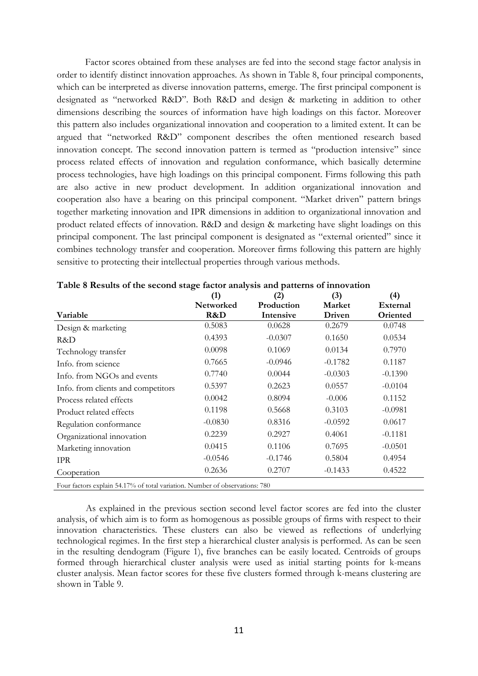Factor scores obtained from these analyses are fed into the second stage factor analysis in order to identify distinct innovation approaches. As shown in Table 8, four principal components, which can be interpreted as diverse innovation patterns, emerge. The first principal component is designated as "networked R&D". Both R&D and design & marketing in addition to other dimensions describing the sources of information have high loadings on this factor. Moreover this pattern also includes organizational innovation and cooperation to a limited extent. It can be argued that "networked R&D" component describes the often mentioned research based innovation concept. The second innovation pattern is termed as "production intensive" since process related effects of innovation and regulation conformance, which basically determine process technologies, have high loadings on this principal component. Firms following this path are also active in new product development. In addition organizational innovation and cooperation also have a bearing on this principal component. "Market driven" pattern brings together marketing innovation and IPR dimensions in addition to organizational innovation and product related effects of innovation. R&D and design & marketing have slight loadings on this principal component. The last principal component is designated as "external oriented" since it combines technology transfer and cooperation. Moreover firms following this pattern are highly sensitive to protecting their intellectual properties through various methods.

|                                                                             | (1)              | (2)        | (3)           | (4)       |
|-----------------------------------------------------------------------------|------------------|------------|---------------|-----------|
|                                                                             | <b>Networked</b> | Production | <b>Market</b> | External  |
| Variable                                                                    | R&D              | Intensive  | <b>Driven</b> | Oriented  |
| Design & marketing                                                          | 0.5083           | 0.0628     | 0.2679        | 0.0748    |
| R&D                                                                         | 0.4393           | $-0.0307$  | 0.1650        | 0.0534    |
| Technology transfer                                                         | 0.0098           | 0.1069     | 0.0134        | 0.7970    |
| Info. from science                                                          | 0.7665           | $-0.0946$  | $-0.1782$     | 0.1187    |
| Info. from NGOs and events                                                  | 0.7740           | 0.0044     | $-0.0303$     | $-0.1390$ |
| Info. from clients and competitors                                          | 0.5397           | 0.2623     | 0.0557        | $-0.0104$ |
| Process related effects                                                     | 0.0042           | 0.8094     | $-0.006$      | 0.1152    |
| Product related effects                                                     | 0.1198           | 0.5668     | 0.3103        | $-0.0981$ |
| Regulation conformance                                                      | $-0.0830$        | 0.8316     | $-0.0592$     | 0.0617    |
| Organizational innovation                                                   | 0.2239           | 0.2927     | 0.4061        | $-0.1181$ |
| Marketing innovation                                                        | 0.0415           | 0.1106     | 0.7695        | $-0.0501$ |
| <b>IPR</b>                                                                  | $-0.0546$        | $-0.1746$  | 0.5804        | 0.4954    |
| Cooperation                                                                 | 0.2636           | 0.2707     | $-0.1433$     | 0.4522    |
| Four factors explain 54.17% of total variation. Number of observations: 780 |                  |            |               |           |

**Table 8 Results of the second stage factor analysis and patterns of innovation**

As explained in the previous section second level factor scores are fed into the cluster analysis, of which aim is to form as homogenous as possible groups of firms with respect to their innovation characteristics. These clusters can also be viewed as reflections of underlying technological regimes. In the first step a hierarchical cluster analysis is performed. As can be seen in the resulting dendogram (Figure 1), five branches can be easily located. Centroids of groups formed through hierarchical cluster analysis were used as initial starting points for k-means cluster analysis. Mean factor scores for these five clusters formed through k-means clustering are shown in Table 9.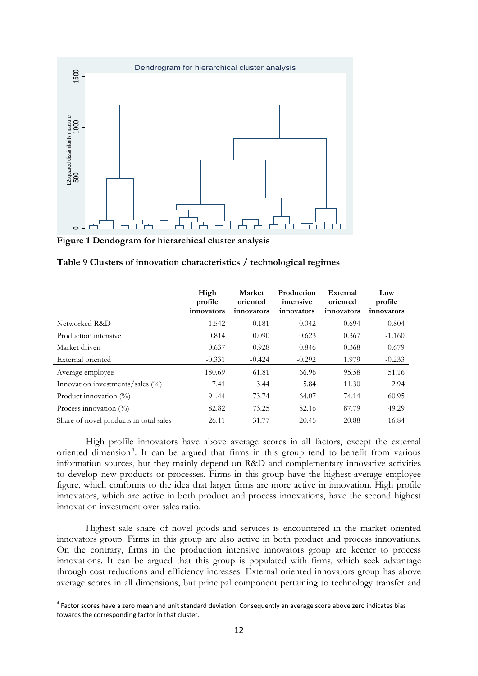

**Figure 1 Dendogram for hierarchical cluster analysis**

| Table 9 Clusters of innovation characteristics / technological regimes |  |
|------------------------------------------------------------------------|--|
|------------------------------------------------------------------------|--|

|                                        | High<br>profile<br>innovators | <b>Market</b><br>oriented<br>innovators | Production<br>intensive<br>innovators | External<br>oriented<br>innovators | Low<br>profile<br>innovators |
|----------------------------------------|-------------------------------|-----------------------------------------|---------------------------------------|------------------------------------|------------------------------|
| Networked R&D                          | 1.542                         | $-0.181$                                | $-0.042$                              | 0.694                              | $-0.804$                     |
| Production intensive                   | 0.814                         | 0.090                                   | 0.623                                 | 0.367                              | $-1.160$                     |
| Market driven                          | 0.637                         | 0.928                                   | $-0.846$                              | 0.368                              | $-0.679$                     |
| External oriented                      | $-0.331$                      | $-0.424$                                | $-0.292$                              | 1.979                              | $-0.233$                     |
| Average employee                       | 180.69                        | 61.81                                   | 66.96                                 | 95.58                              | 51.16                        |
| Innovation investments/sales (%)       | 7.41                          | 3.44                                    | 5.84                                  | 11.30                              | 2.94                         |
| Product innovation $(\%)$              | 91.44                         | 73.74                                   | 64.07                                 | 74.14                              | 60.95                        |
| Process innovation $(\%)$              | 82.82                         | 73.25                                   | 82.16                                 | 87.79                              | 49.29                        |
| Share of novel products in total sales | 26.11                         | 31.77                                   | 20.45                                 | 20.88                              | 16.84                        |

High profile innovators have above average scores in all factors, except the external oriented dimension<sup>[4](#page-11-0)</sup>. It can be argued that firms in this group tend to benefit from various information sources, but they mainly depend on R&D and complementary innovative activities to develop new products or processes. Firms in this group have the highest average employee figure, which conforms to the idea that larger firms are more active in innovation. High profile innovators, which are active in both product and process innovations, have the second highest innovation investment over sales ratio.

Highest sale share of novel goods and services is encountered in the market oriented innovators group. Firms in this group are also active in both product and process innovations. On the contrary, firms in the production intensive innovators group are keener to process innovations. It can be argued that this group is populated with firms, which seek advantage through cost reductions and efficiency increases. External oriented innovators group has above average scores in all dimensions, but principal component pertaining to technology transfer and

<span id="page-11-0"></span><sup>4</sup> Factor scores have a zero mean and unit standard deviation. Consequently an average score above zero indicates bias towards the corresponding factor in that cluster.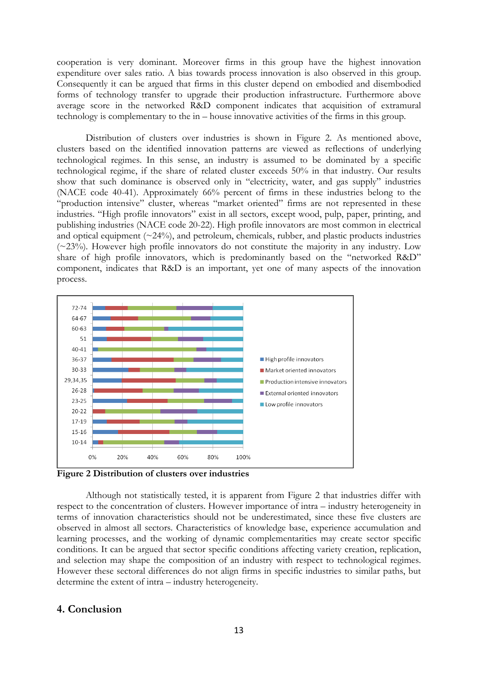cooperation is very dominant. Moreover firms in this group have the highest innovation expenditure over sales ratio. A bias towards process innovation is also observed in this group. Consequently it can be argued that firms in this cluster depend on embodied and disembodied forms of technology transfer to upgrade their production infrastructure. Furthermore above average score in the networked R&D component indicates that acquisition of extramural technology is complementary to the in – house innovative activities of the firms in this group.

Distribution of clusters over industries is shown in Figure 2. As mentioned above, clusters based on the identified innovation patterns are viewed as reflections of underlying technological regimes. In this sense, an industry is assumed to be dominated by a specific technological regime, if the share of related cluster exceeds 50% in that industry. Our results show that such dominance is observed only in "electricity, water, and gas supply" industries (NACE code 40-41). Approximately 66% percent of firms in these industries belong to the "production intensive" cluster, whereas "market oriented" firms are not represented in these industries. "High profile innovators" exist in all sectors, except wood, pulp, paper, printing, and publishing industries (NACE code 20-22). High profile innovators are most common in electrical and optical equipment  $(\sim 24\%)$ , and petroleum, chemicals, rubber, and plastic products industries  $(\sim 23\%)$ . However high profile innovators do not constitute the majority in any industry. Low share of high profile innovators, which is predominantly based on the "networked R&D" component, indicates that R&D is an important, yet one of many aspects of the innovation process.



**Figure 2 Distribution of clusters over industries**

Although not statistically tested, it is apparent from Figure 2 that industries differ with respect to the concentration of clusters. However importance of intra – industry heterogeneity in terms of innovation characteristics should not be underestimated, since these five clusters are observed in almost all sectors. Characteristics of knowledge base, experience accumulation and learning processes, and the working of dynamic complementarities may create sector specific conditions. It can be argued that sector specific conditions affecting variety creation, replication, and selection may shape the composition of an industry with respect to technological regimes. However these sectoral differences do not align firms in specific industries to similar paths, but determine the extent of intra – industry heterogeneity.

### **4. Conclusion**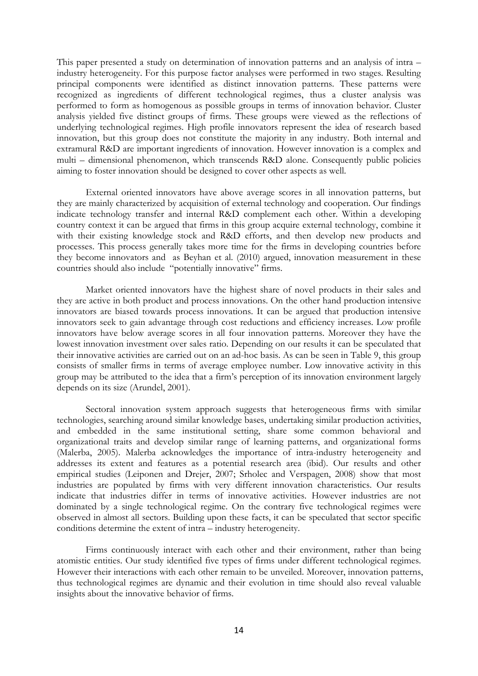This paper presented a study on determination of innovation patterns and an analysis of intra – industry heterogeneity. For this purpose factor analyses were performed in two stages. Resulting principal components were identified as distinct innovation patterns. These patterns were recognized as ingredients of different technological regimes, thus a cluster analysis was performed to form as homogenous as possible groups in terms of innovation behavior. Cluster analysis yielded five distinct groups of firms. These groups were viewed as the reflections of underlying technological regimes. High profile innovators represent the idea of research based innovation, but this group does not constitute the majority in any industry. Both internal and extramural R&D are important ingredients of innovation. However innovation is a complex and multi – dimensional phenomenon, which transcends R&D alone. Consequently public policies aiming to foster innovation should be designed to cover other aspects as well.

External oriented innovators have above average scores in all innovation patterns, but they are mainly characterized by acquisition of external technology and cooperation. Our findings indicate technology transfer and internal R&D complement each other. Within a developing country context it can be argued that firms in this group acquire external technology, combine it with their existing knowledge stock and R&D efforts, and then develop new products and processes. This process generally takes more time for the firms in developing countries before they become innovators and as Beyhan et al. (2010) argued, innovation measurement in these countries should also include "potentially innovative" firms.

Market oriented innovators have the highest share of novel products in their sales and they are active in both product and process innovations. On the other hand production intensive innovators are biased towards process innovations. It can be argued that production intensive innovators seek to gain advantage through cost reductions and efficiency increases. Low profile innovators have below average scores in all four innovation patterns. Moreover they have the lowest innovation investment over sales ratio. Depending on our results it can be speculated that their innovative activities are carried out on an ad-hoc basis. As can be seen in Table 9, this group consists of smaller firms in terms of average employee number. Low innovative activity in this group may be attributed to the idea that a firm's perception of its innovation environment largely depends on its size (Arundel, 2001).

Sectoral innovation system approach suggests that heterogeneous firms with similar technologies, searching around similar knowledge bases, undertaking similar production activities, and embedded in the same institutional setting, share some common behavioral and organizational traits and develop similar range of learning patterns, and organizational forms (Malerba, 2005). Malerba acknowledges the importance of intra-industry heterogeneity and addresses its extent and features as a potential research area (ibid). Our results and other empirical studies (Leiponen and Drejer, 2007; Srholec and Verspagen, 2008) show that most industries are populated by firms with very different innovation characteristics. Our results indicate that industries differ in terms of innovative activities. However industries are not dominated by a single technological regime. On the contrary five technological regimes were observed in almost all sectors. Building upon these facts, it can be speculated that sector specific conditions determine the extent of intra – industry heterogeneity.

Firms continuously interact with each other and their environment, rather than being atomistic entities. Our study identified five types of firms under different technological regimes. However their interactions with each other remain to be unveiled. Moreover, innovation patterns, thus technological regimes are dynamic and their evolution in time should also reveal valuable insights about the innovative behavior of firms.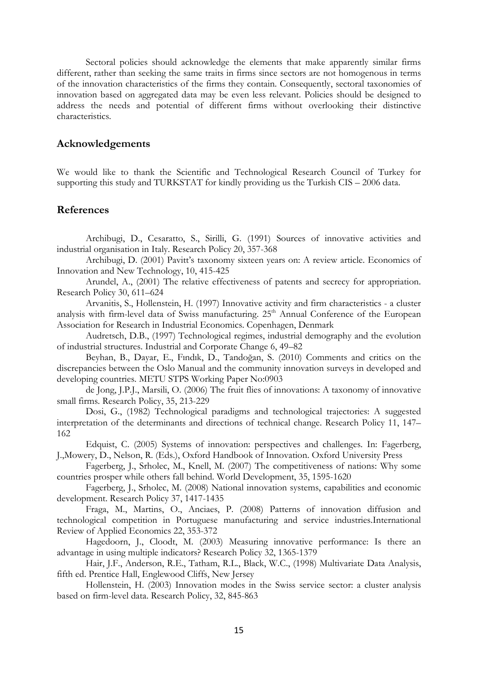Sectoral policies should acknowledge the elements that make apparently similar firms different, rather than seeking the same traits in firms since sectors are not homogenous in terms of the innovation characteristics of the firms they contain. Consequently, sectoral taxonomies of innovation based on aggregated data may be even less relevant. Policies should be designed to address the needs and potential of different firms without overlooking their distinctive characteristics.

### **Acknowledgements**

We would like to thank the Scientific and Technological Research Council of Turkey for supporting this study and TURKSTAT for kindly providing us the Turkish CIS – 2006 data.

### **References**

Archibugi, D., Cesaratto, S., Sirilli, G. (1991) Sources of innovative activities and industrial organisation in Italy. Research Policy 20, 357-368

Archibugi, D. (2001) Pavitt's taxonomy sixteen years on: A review article. Economics of Innovation and New Technology, 10, 415-425

Arundel, A., (2001) The relative effectiveness of patents and secrecy for appropriation. Research Policy 30, 611–624

Arvanitis, S., Hollenstein, H. (1997) Innovative activity and firm characteristics - a cluster analysis with firm-level data of Swiss manufacturing.  $25<sup>th</sup>$  Annual Conference of the European Association for Research in Industrial Economics. Copenhagen, Denmark

Audretsch, D.B., (1997) Technological regimes, industrial demography and the evolution of industrial structures. Industrial and Corporate Change 6, 49–82

Beyhan, B., Dayar, E., Fındık, D., Tandoğan, S. (2010) Comments and critics on the discrepancies between the Oslo Manual and the community innovation surveys in developed and developing countries. METU STPS Working Paper No:0903

de Jong, J.P.J., Marsili, O. (2006) The fruit flies of innovations: A taxonomy of innovative small firms. Research Policy, 35, 213-229

Dosi, G., (1982) Technological paradigms and technological trajectories: A suggested interpretation of the determinants and directions of technical change. Research Policy 11, 147– 162

Edquist, C. (2005) Systems of innovation: perspectives and challenges. In: Fagerberg, J.,Mowery, D., Nelson, R. (Eds.), Oxford Handbook of Innovation. Oxford University Press

Fagerberg, J., Srholec, M., Knell, M. (2007) The competitiveness of nations: Why some countries prosper while others fall behind. World Development, 35, 1595-1620

Fagerberg, J., Srholec, M. (2008) National innovation systems, capabilities and economic development. Research Policy 37, 1417-1435

Fraga, M., Martins, O., Anciaes, P. (2008) Patterns of innovation diffusion and technological competition in Portuguese manufacturing and service industries.International Review of Applied Economics 22, 353-372

Hagedoorn, J., Cloodt, M. (2003) Measuring innovative performance: Is there an advantage in using multiple indicators? Research Policy 32, 1365-1379

Hair, J.F., Anderson, R.E., Tatham, R.L., Black, W.C., (1998) Multivariate Data Analysis, fifth ed. Prentice Hall, Englewood Cliffs, New Jersey

Hollenstein, H. (2003) Innovation modes in the Swiss service sector: a cluster analysis based on firm-level data. Research Policy, 32, 845-863